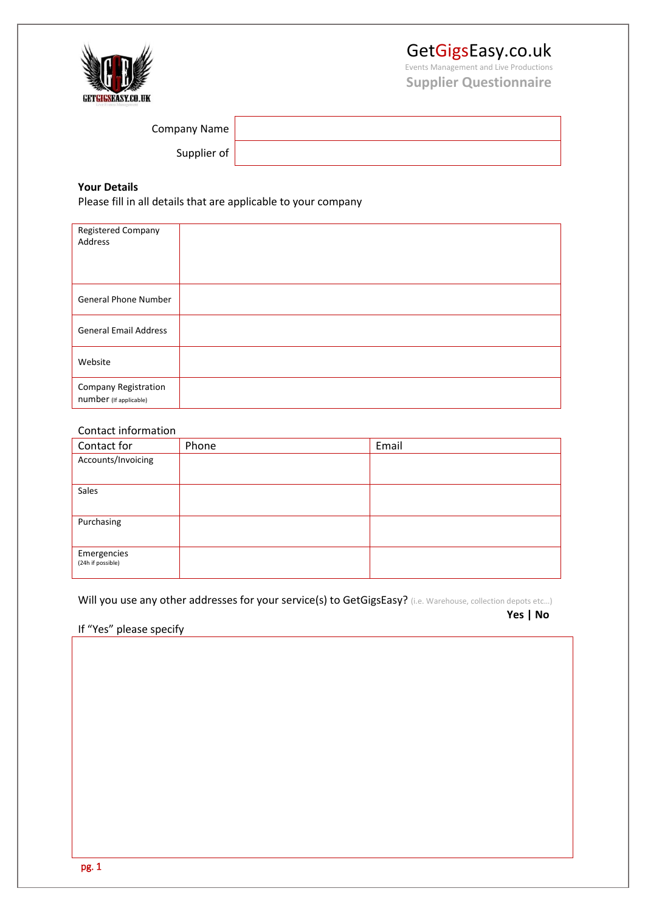

# GetGigsEasy.co.uk

Events Management and Live Productions **Supplier Questionnaire**

| Company Name |  |
|--------------|--|
| Supplier of  |  |

### **Your Details**

Please fill in all details that are applicable to your company

| Registered Company<br>Address                  |  |
|------------------------------------------------|--|
| <b>General Phone Number</b>                    |  |
| <b>General Email Address</b>                   |  |
| Website                                        |  |
| Company Registration<br>number (If applicable) |  |

#### Contact information

| Contact for        | Phone | Email |
|--------------------|-------|-------|
| Accounts/Invoicing |       |       |
|                    |       |       |
| Sales              |       |       |
|                    |       |       |
| Purchasing         |       |       |
|                    |       |       |
| Emergencies        |       |       |
| (24h if possible)  |       |       |

Will you use any other addresses for your service(s) to GetGigsEasy? (i.e. Warehouse, collection depots etc...)

**Yes | No**

If "Yes" please specify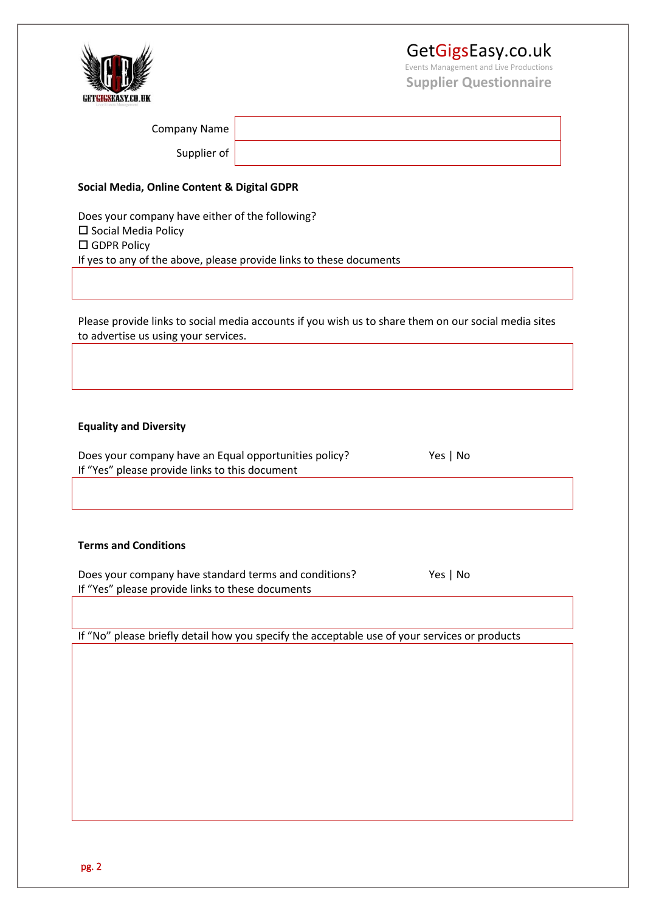## GetGigsEasy.co.uk

Events Management and Live Productions **Supplier Questionnaire**



| Company Name                                                                                                                                                     |  |          |  |  |  |  |
|------------------------------------------------------------------------------------------------------------------------------------------------------------------|--|----------|--|--|--|--|
| Supplier of                                                                                                                                                      |  |          |  |  |  |  |
|                                                                                                                                                                  |  |          |  |  |  |  |
| Social Media, Online Content & Digital GDPR                                                                                                                      |  |          |  |  |  |  |
| Does your company have either of the following?<br>□ Social Media Policy<br>□ GDPR Policy<br>If yes to any of the above, please provide links to these documents |  |          |  |  |  |  |
|                                                                                                                                                                  |  |          |  |  |  |  |
| Please provide links to social media accounts if you wish us to share them on our social media sites<br>to advertise us using your services.                     |  |          |  |  |  |  |
|                                                                                                                                                                  |  |          |  |  |  |  |
| <b>Equality and Diversity</b>                                                                                                                                    |  |          |  |  |  |  |
| Does your company have an Equal opportunities policy?<br>If "Yes" please provide links to this document                                                          |  | Yes   No |  |  |  |  |
|                                                                                                                                                                  |  |          |  |  |  |  |
|                                                                                                                                                                  |  |          |  |  |  |  |
| <b>Terms and Conditions</b>                                                                                                                                      |  |          |  |  |  |  |
| Does your company have standard terms and conditions?<br>Yes   No<br>If "Yes" please provide links to these documents                                            |  |          |  |  |  |  |
|                                                                                                                                                                  |  |          |  |  |  |  |
| If "No" please briefly detail how you specify the acceptable use of your services or products                                                                    |  |          |  |  |  |  |
|                                                                                                                                                                  |  |          |  |  |  |  |
|                                                                                                                                                                  |  |          |  |  |  |  |
|                                                                                                                                                                  |  |          |  |  |  |  |
|                                                                                                                                                                  |  |          |  |  |  |  |
|                                                                                                                                                                  |  |          |  |  |  |  |
|                                                                                                                                                                  |  |          |  |  |  |  |
|                                                                                                                                                                  |  |          |  |  |  |  |